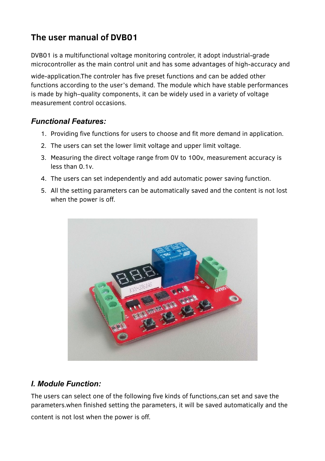DVB01 is a multifunctional voltage monitoring controler, it adopt industrial-grade microcontroller as the main control unit and has some advantages of high-accuracy and

wide-application.The controler has five preset functions and can be added other functions according to the user's demand. The module which have stable performances is made by high–quality components, it can be widely used in a variety of voltage measurement control occasions.

#### *Functional Features:*

- 1. Providing five functions for users to choose and fit more demand in application.
- 2. The users can set the lower limit voltage and upper limit voltage.
- 3. Measuring the direct voltage range from 0V to 100v, measurement accuracy is less than 0.1v.
- 4. The users can set independently and add automatic power saving function.
- 5. All the setting parameters can be automatically saved and the content is not lost when the power is off.



#### *I. Module Function:*

The users can select one of the following five kinds of functions,can set and save the parameters.when finished setting the parameters, it will be saved automatically and the

content is not lost when the power is off.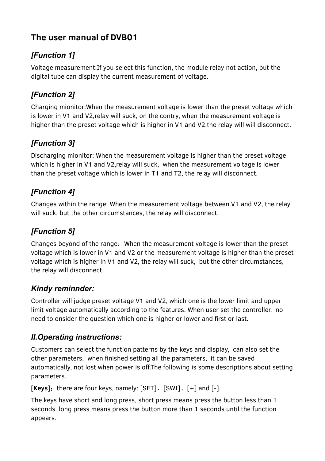## *[Function 1]*

Voltage measurement:If you select this function, the module relay not action, but the digital tube can display the current measurement of voltage.

## *[Function 2]*

Charging mionitor:When the measurement voltage is lower than the preset voltage which is lower in V1 and V2,relay will suck, on the contry, when the measurement voltage is higher than the preset voltage which is higher in V1 and V2,the relay will will disconnect.

## *[Function 3]*

Discharging mionitor: When the measurement voltage is higher than the preset voltage which is higher in V1 and V2,relay will suck, when the measurement voltage is lower than the preset voltage which is lower in T1 and T2, the relay will disconnect.

## *[Function 4]*

Changes within the range: When the measurement voltage between V1 and V2, the relay will suck, but the other circumstances, the relay will disconnect.

# *[Function 5]*

Changes beyond of the range:When the measurement voltage is lower than the preset voltage which is lower in V1 and V2 or the measurement voltage is higher than the preset voltage which is higher in V1 and V2, the relay will suck, but the other circumstances, the relay will disconnect.

## *Kindy reminnder:*

Controller will judge preset voltage V1 and V2, which one is the lower limit and upper limit voltage automatically according to the features. When user set the controller, no need to onsider the question which one is higher or lower and first or last.

## *II.Operating instructions:*

Customers can select the function patterns by the keys and display, can also set the other parameters, when finished setting all the parameters, it can be saved automatically, not lost when power is off.The following is some descriptions about setting parameters.

**[Keys]:** there are four keys, namely: [SET]、[SWI]、[+] and [-].

The keys have short and long press, short press means press the button less than 1 seconds. long press means press the button more than 1 seconds until the function appears.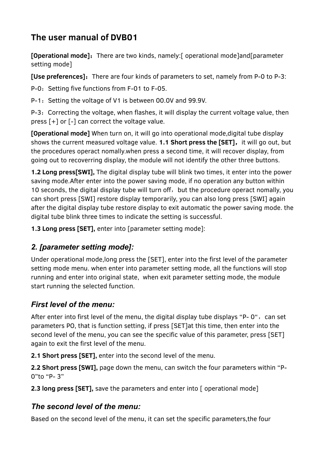**[Operational mode]:** There are two kinds, namely: [ operational mode]and[parameter setting mode]

**[Use preferences]:** There are four kinds of parameters to set, namely from P-0 to P-3:

P-0: Setting five functions from F-01 to F-05.

P-1: Setting the voltage of V1 is between 00.0V and 99.9V.

P-3: Correcting the voltage, when flashes, it will display the current voltage value, then press [+] or [-] can correct the voltage value.

**[Operational mode]** When turn on, it will go into operational mode,digital tube display shows the current measured voltage value. **1.1 Short press the [SET]**, it will go out, but the procedures operact nomally.when press a second time, it will recover display, from going out to recoverring display, the module will not identify the other three buttons.

**1.2 Long press[SWI],** The digital display tube will blink two times, it enter into the power saving mode.After enter into the power saving mode, if no operation any button within 10 seconds, the digital display tube will turn off, but the procedure operact nomally, you can short press [SWI] restore display temporarily, you can also long press [SWI] again after the digital display tube restore display to exit automatic the power saving mode. the digital tube blink three times to indicate the setting is successful.

**1.3 Long press [SET],** enter into [parameter setting mode]:

## *2. [parameter setting mode]:*

Under operational mode,long press the [SET], enter into the first level of the parameter setting mode menu. when enter into parameter setting mode, all the functions will stop running and enter into original state, when exit parameter setting mode, the module start running the selected function.

## *First level of the menu:*

After enter into first level of the menu, the digital display tube displays "P- $0$ ", can set parameters PO, that is function setting, if press [SET]at this time, then enter into the second level of the menu, you can see the specific value of this parameter, press [SET] again to exit the first level of the menu.

**2.1 Short press [SET],** enter into the second level of the menu.

**2.2 Short press [SWI],** page down the menu, can switch the four parameters within "P-0"to "P- 3"

**2.3 long press [SET],** save the parameters and enter into [ operational mode]

## *The second level of the menu:*

Based on the second level of the menu, it can set the specific parameters,the four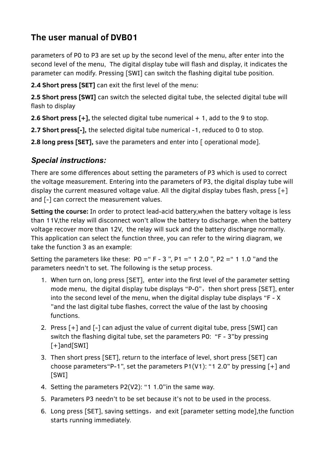parameters of P0 to P3 are set up by the second level of the menu, after enter into the second level of the menu, The digital display tube will flash and display, it indicates the parameter can modify. Pressing [SWI] can switch the flashing digital tube position.

**2.4 Short press [SET]** can exit the first level of the menu:

**2.5 Short press [SWI]** can switch the selected digital tube, the selected digital tube will flash to display

**2.6 Short press [+],** the selected digital tube numerical + 1, add to the 9 to stop.

**2.7 Short press[-],** the selected digital tube numerical -1, reduced to 0 to stop.

**2.8 long press [SET],** save the parameters and enter into [ operational mode].

#### *Special instructions:*

There are some differences about setting the parameters of P3 which is used to correct the voltage measurement. Entering into the parameters of P3, the digital display tube will display the current measured voltage value. All the digital display tubes flash, press [+] and [-] can correct the measurement values.

**Setting the course:** In order to protect lead-acid battery,when the battery voltage is less than 11V,the relay will disconnect won't allow the battery to discharge. when the battery voltage recover more than 12V, the relay will suck and the battery discharge normally. This application can select the function three, you can refer to the wiring diagram, we take the function 3 as an example:

Setting the parameters like these:  $PQ = "F - 3", P1 = "1 2.0", P2 = "1 1.0"$  and the parameters needn't to set. The following is the setup process.

- 1. When turn on, long press [SET], enter into the first level of the parameter setting mode menu, the digital display tube displays "P-0", then short press [SET], enter into the second level of the menu, when the digital display tube displays "F - X "and the last digital tube flashes, correct the value of the last by choosing functions.
- 2. Press [+] and [-] can adjust the value of current digital tube, press [SWI] can switch the flashing digital tube, set the parameters P0: "F - 3"by pressing [+]and[SWI]
- 3. Then short press [SET], return to the interface of level, short press [SET] can choose parameters "P-1", set the parameters  $P1(V1)$ : "1 2.0" by pressing [+] and [SWI]
- 4. Setting the parameters P2(V2): "1 1.0"in the same way.
- 5. Parameters P3 needn't to be set because it's not to be used in the process.
- 6. Long press [SET], saving settings, and exit [parameter setting mode], the function starts running immediately.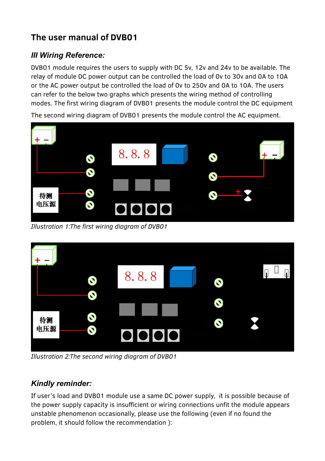### *III Wiring Reference:*

DVB01 module requires the users to supply with DC 5v, 12v and 24v to be available. The relay of module DC power output can be controlled the load of 0v to 30v and 0A to 10A or the AC power output be controlled the load of 0v to 250v and 0A to 10A. The users can refer to the below two graphs which presents the wiring method of controlling modes. The first wiring diagram of DVB01 presents the module control the DC equipment

The second wiring diagram of DVB01 presents the module control the AC equipment.



*Illustration 1:The first wiring diagram of DVB01*



*Illustration 2:The second wiring diagram of DVB01*

#### *Kindly reminder:*

If user's load and DVB01 module use a same DC power supply, it is possible because of the power supply capacity is insufficient or wiring connections unfit the module appears unstable phenomenon occasionally, please use the following (even if no found the problem, it should follow the recommendation ):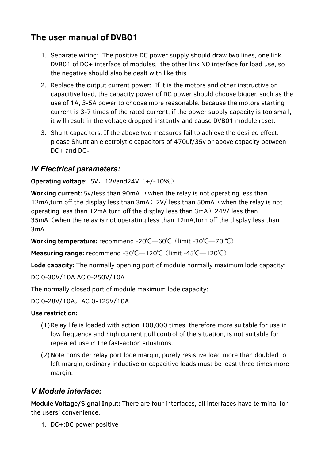- 1. Separate wiring: The positive DC power supply should draw two lines, one link DVB01 of DC+ interface of modules, the other link NO interface for load use, so the negative should also be dealt with like this.
- 2. Replace the output current power: If it is the motors and other instructive or capacitive load, the capacity power of DC power should choose bigger, such as the use of 1A, 3-5A power to choose more reasonable, because the motors starting current is 3-7 times of the rated current, if the power supply capacity is too small, it will result in the voltage dropped instantly and cause DVB01 module reset.
- 3. Shunt capacitors: If the above two measures fail to achieve the desired effect, please Shunt an electrolytic capacitors of 470uf/35v or above capacity between DC+ and DC-.

#### *IV Electrical parameters:*

#### **Operating voltage: 5V、12Vand24V(+/-10%)**

**Working current:** 5v/less than 90mA (when the relay is not operating less than 12mA, turn off the display less than 3mA) 2V/ less than 50mA (when the relay is not operating less than 12mA,turn off the display less than 3mA)24V/ less than 35mA (when the relay is not operating less than 12mA, turn off the display less than 3mA

**Working temperature:** recommend -20°C—60°C (limit -30°C—70 °C)

**Measuring range:** recommend -30℃—120℃ (limit -45℃—120℃)

**Lode capacity:** The normally opening port of module normally maximum lode capacity:

DC 0-30V/10A,AC 0-250V/10A

The normally closed port of module maximum lode capacity:

DC 0-28V/10A, AC 0-125V/10A

#### **Use restriction:**

- (1)Relay life is loaded with action 100,000 times, therefore more suitable for use in low frequency and high current pull control of the situation, is not suitable for repeated use in the fast-action situations.
- (2)Note consider relay port lode margin, purely resistive load more than doubled to left margin, ordinary inductive or capacitive loads must be least three times more margin.

#### *V Module interface:*

**Module Voltage/Signal Input:** There are four interfaces, all interfaces have terminal for the users' convenience.

1. DC+:DC power positive